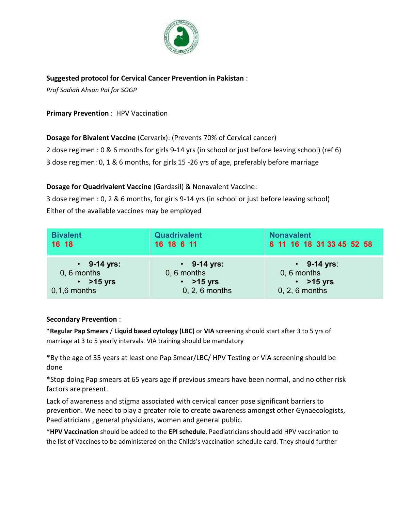

## **Suggested protocol for Cervical Cancer Prevention in Pakistan** :

*Prof Sadiah Ahsan Pal for SOGP*

**Primary Prevention** : HPV Vaccination

**Dosage for Bivalent Vaccine** (Cervarix): (Prevents 70% of Cervical cancer)

2 dose regimen : 0 & 6 months for girls 9-14 yrs (in school or just before leaving school) (ref 6)

3 dose regimen: 0, 1 & 6 months, for girls 15 -26 yrs of age, preferably before marriage

**Dosage for Quadrivalent Vaccine** (Gardasil) & Nonavalent Vaccine:

3 dose regimen : 0, 2 & 6 months, for girls 9-14 yrs (in school or just before leaving school) Either of the available vaccines may be employed

| <b>Bivalent</b>   | <b>Quadrivalent</b> | <b>Nonavalent</b>         |
|-------------------|---------------------|---------------------------|
| 16 18             | 16 18 6 11          | 6 11 16 18 31 33 45 52 58 |
| $\cdot$ 9-14 yrs: | $\cdot$ 9-14 yrs:   | $\cdot$ 9-14 yrs:         |
| $0, 6$ months     | $0, 6$ months       | $0, 6$ months             |
| $\cdot$ >15 yrs   | $\cdot$ >15 yrs     | $\cdot$ >15 yrs           |
| $0,1,6$ months    | 0, 2, 6 months      | 0, 2, 6 months            |

## **Secondary Prevention** :

\***Regular Pap Smears** / **Liquid based cytology (LBC)** or **VIA** screening should start after 3 to 5 yrs of marriage at 3 to 5 yearly intervals. VIA training should be mandatory

\*By the age of 35 years at least one Pap Smear/LBC/ HPV Testing or VIA screening should be done

\*Stop doing Pap smears at 65 years age if previous smears have been normal, and no other risk factors are present.

Lack of awareness and stigma associated with cervical cancer pose significant barriers to prevention. We need to play a greater role to create awareness amongst other Gynaecologists, Paediatricians , general physicians, women and general public.

\***HPV Vaccination** should be added to the **EPI schedule**. Paediatricians should add HPV vaccination to the list of Vaccines to be administered on the Childs's vaccination schedule card. They should further